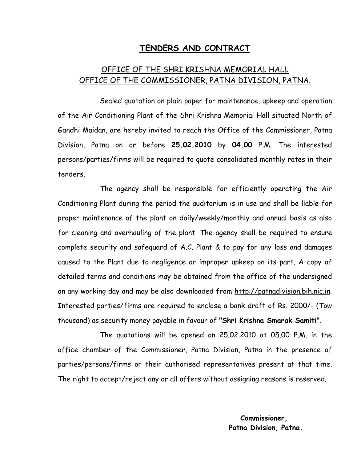## TENDERS AND CONTRACT

## OFFICE OF THE SHRI KRISHNA MEMORIAL HALL OFFICE OF THE COMMISSIONER, PATNA DIVISION, PATNA.

 Sealed quotation on plain paper for maintenance, upkeep and operation of the Air Conditioning Plant of the Shri Krishna Memorial Hall situated North of Gandhi Maidan, are hereby invited to reach the Office of the Commissioner, Patna Division, Patna on or before 25.02.2010 by 04.00 P.M. The interested persons/parties/firms will be required to quote consolidated monthly rates in their tenders.

 The agency shall be responsible for efficiently operating the Air Conditioning Plant during the period the auditorium is in use and shall be liable for proper maintenance of the plant on daily/weekly/monthly and annual basis as also for cleaning and overhauling of the plant. The agency shall be required to ensure complete security and safeguard of A.C. Plant & to pay for any loss and damages caused to the Plant due to negligence or improper upkeep on its part. A copy of detailed terms and conditions may be obtained from the office of the undersigned on any working day and may be also downloaded from http://patnadivision.bih.nic.in. Interested parties/firms are required to enclose a bank draft of Rs. 2000/- (Tow thousand) as security money payable in favour of "Shri Krishna Smarak Samiti".

 The quotations will be opened on 25.02.2010 at 05.00 P.M. in the office chamber of the Commissioner, Patna Division, Patna in the presence of parties/persons/firms or their authorised representatives present at that time. The right to accept/reject any or all offers without assigning reasons is reserved.

> Commissioner, Patna Division, Patna.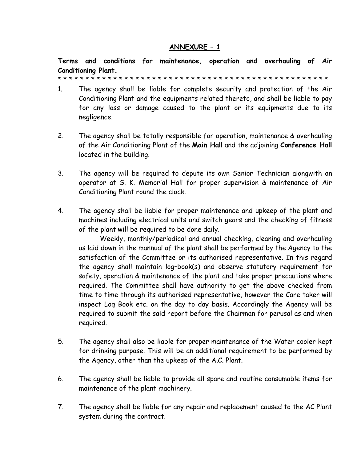## ANNEXURE – 1

Terms and conditions for maintenance, operation and overhauling of Air Conditioning Plant.

\* \* \* \* \* \* \* \* \* \* \* \* \* \* \* \* \* \* \* \* \* \* \* \* \* \* \* \* \* \* \* \* \* \* \* \* \* \* \* \* \* \* \* \* \* \* \* \* \*

- 1. The agency shall be liable for complete security and protection of the Air Conditioning Plant and the equipments related thereto, and shall be liable to pay for any loss or damage caused to the plant or its equipments due to its negligence.
- 2. The agency shall be totally responsible for operation, maintenance & overhauling of the Air Conditioning Plant of the Main Hall and the adjoining Conference Hall located in the building.
- 3. The agency will be required to depute its own Senior Technician alongwith an operator at S. K. Memorial Hall for proper supervision & maintenance of Air Conditioning Plant round the clock.
- 4. The agency shall be liable for proper maintenance and upkeep of the plant and machines including electrical units and switch gears and the checking of fitness of the plant will be required to be done daily.

Weekly, monthly/periodical and annual checking, cleaning and overhauling as laid down in the mannual of the plant shall be performed by the Agency to the satisfaction of the Committee or its authorised representative. In this regard the agency shall maintain log–book(s) and observe statutory requirement for safety, operation & maintenance of the plant and take proper precautions where required. The Committee shall have authority to get the above checked from time to time through its authorised representative, however the Care taker will inspect Log Book etc. on the day to day basis. Accordingly the Agency will be required to submit the said report before the Chairman for perusal as and when required.

- 5. The agency shall also be liable for proper maintenance of the Water cooler kept for drinking purpose. This will be an additional requirement to be performed by the Agency, other than the upkeep of the A.C. Plant.
- 6. The agency shall be liable to provide all spare and routine consumable items for maintenance of the plant machinery.
- 7. The agency shall be liable for any repair and replacement caused to the AC Plant system during the contract.